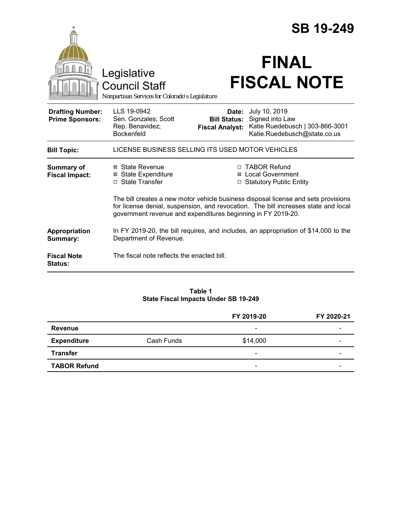|                                                   |                                                                                                                                                                                                                                          |                                                        | <b>SB 19-249</b>                                                                                    |  |
|---------------------------------------------------|------------------------------------------------------------------------------------------------------------------------------------------------------------------------------------------------------------------------------------------|--------------------------------------------------------|-----------------------------------------------------------------------------------------------------|--|
|                                                   | Legislative<br><b>Council Staff</b><br>Nonpartisan Services for Colorado's Legislature                                                                                                                                                   |                                                        | <b>FINAL</b><br><b>FISCAL NOTE</b>                                                                  |  |
| <b>Drafting Number:</b><br><b>Prime Sponsors:</b> | LLS 19-0942<br>Sen. Gonzales; Scott<br>Rep. Benavidez;<br><b>Bockenfeld</b>                                                                                                                                                              | Date:<br><b>Bill Status:</b><br><b>Fiscal Analyst:</b> | July 10, 2019<br>Signed into Law<br>Katie Ruedebusch   303-866-3001<br>Katie.Ruedebusch@state.co.us |  |
| <b>Bill Topic:</b>                                | LICENSE BUSINESS SELLING ITS USED MOTOR VEHICLES                                                                                                                                                                                         |                                                        |                                                                                                     |  |
| <b>Summary of</b><br><b>Fiscal Impact:</b>        | ⊠ State Revenue<br><b>⊠</b> State Expenditure<br>□ State Transfer                                                                                                                                                                        | ⊠                                                      | □ TABOR Refund<br><b>Local Government</b><br><b>Statutory Public Entity</b>                         |  |
|                                                   | The bill creates a new motor vehicle business disposal license and sets provisions<br>for license denial, suspension, and revocation. The bill increases state and local<br>government revenue and expenditures beginning in FY 2019-20. |                                                        |                                                                                                     |  |
| Appropriation<br>Summary:                         | In FY 2019-20, the bill requires, and includes, an appropriation of \$14,000 to the<br>Department of Revenue.                                                                                                                            |                                                        |                                                                                                     |  |
| <b>Fiscal Note</b><br>Status:                     | The fiscal note reflects the enacted bill.                                                                                                                                                                                               |                                                        |                                                                                                     |  |

#### **Table 1 State Fiscal Impacts Under SB 19-249**

|                     |            | FY 2019-20               | FY 2020-21 |
|---------------------|------------|--------------------------|------------|
| <b>Revenue</b>      |            | $\overline{\phantom{a}}$ |            |
| <b>Expenditure</b>  | Cash Funds | \$14,000                 |            |
| <b>Transfer</b>     |            | $\overline{\phantom{a}}$ |            |
| <b>TABOR Refund</b> |            | $\overline{\phantom{a}}$ |            |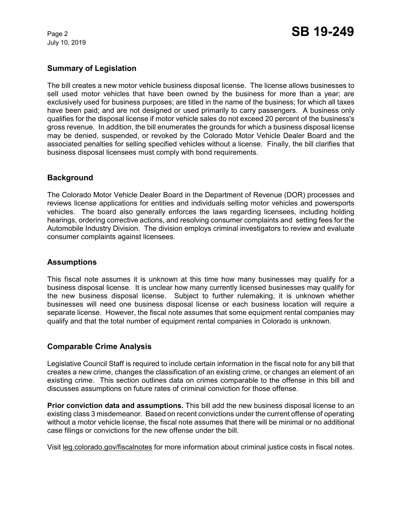July 10, 2019

# **Summary of Legislation**

The bill creates a new motor vehicle business disposal license. The license allows businesses to sell used motor vehicles that have been owned by the business for more than a year; are exclusively used for business purposes; are titled in the name of the business; for which all taxes have been paid; and are not designed or used primarily to carry passengers. A business only qualifies for the disposal license if motor vehicle sales do not exceed 20 percent of the business's gross revenue. In addition, the bill enumerates the grounds for which a business disposal license may be denied, suspended, or revoked by the Colorado Motor Vehicle Dealer Board and the associated penalties for selling specified vehicles without a license. Finally, the bill clarifies that business disposal licensees must comply with bond requirements.

## **Background**

The Colorado Motor Vehicle Dealer Board in the Department of Revenue (DOR) processes and reviews license applications for entities and individuals selling motor vehicles and powersports vehicles. The board also generally enforces the laws regarding licensees, including holding hearings, ordering corrective actions, and resolving consumer complaints and setting fees for the Automobile Industry Division. The division employs criminal investigators to review and evaluate consumer complaints against licensees.

## **Assumptions**

This fiscal note assumes it is unknown at this time how many businesses may qualify for a business disposal license. It is unclear how many currently licensed businesses may qualify for the new business disposal license. Subject to further rulemaking, it is unknown whether businesses will need one business disposal license or each business location will require a separate license. However, the fiscal note assumes that some equipment rental companies may qualify and that the total number of equipment rental companies in Colorado is unknown.

## **Comparable Crime Analysis**

Legislative Council Staff is required to include certain information in the fiscal note for any bill that creates a new crime, changes the classification of an existing crime, or changes an element of an existing crime. This section outlines data on crimes comparable to the offense in this bill and discusses assumptions on future rates of criminal conviction for those offense.

**Prior conviction data and assumptions.** This bill add the new business disposal license to an existing class 3 misdemeanor. Based on recent convictions under the current offense of operating without a motor vehicle license, the fiscal note assumes that there will be minimal or no additional case filings or convictions for the new offense under the bill.

Visit leg.colorado.gov/fiscalnotes for more information about criminal justice costs in fiscal notes.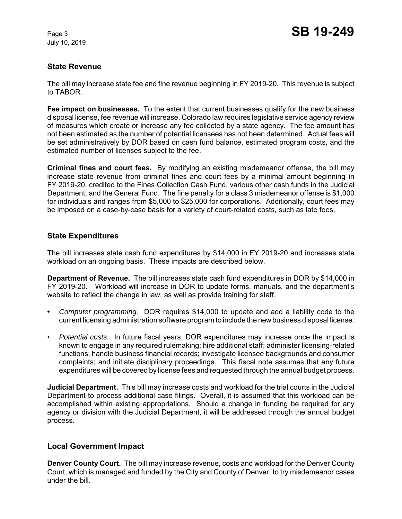July 10, 2019

## **State Revenue**

The bill may increase state fee and fine revenue beginning in FY 2019-20. This revenue is subject to TABOR.

**Fee impact on businesses.** To the extent that current businesses qualify for the new business disposal license, fee revenue will increase. Colorado law requires legislative service agency review of measures which create or increase any fee collected by a state agency. The fee amount has not been estimated as the number of potential licensees has not been determined. Actual fees will be set administratively by DOR based on cash fund balance, estimated program costs, and the estimated number of licenses subject to the fee.

**Criminal fines and court fees.** By modifying an existing misdemeanor offense, the bill may increase state revenue from criminal fines and court fees by a minimal amount beginning in FY 2019-20, credited to the Fines Collection Cash Fund, various other cash funds in the Judicial Department, and the General Fund. The fine penalty for a class 3 misdemeanor offense is \$1,000 for individuals and ranges from \$5,000 to \$25,000 for corporations. Additionally, court fees may be imposed on a case-by-case basis for a variety of court-related costs, such as late fees.

## **State Expenditures**

The bill increases state cash fund expenditures by \$14,000 in FY 2019-20 and increases state workload on an ongoing basis. These impacts are described below.

**Department of Revenue.** The bill increases state cash fund expenditures in DOR by \$14,000 in FY 2019-20. Workload will increase in DOR to update forms, manuals, and the department's website to reflect the change in law, as well as provide training for staff.

- **•** *Computer programming.*DOR requires \$14,000 to update and add a liability code to the current licensing administration software program to include the new business disposal license.
- *Potential costs.* In future fiscal years, DOR expenditures may increase once the impact is known to engage in any required rulemaking; hire additional staff; administer licensing-related functions; handle business financial records; investigate licensee backgrounds and consumer complaints; and initiate disciplinary proceedings. This fiscal note assumes that any future expenditures will be covered by license fees and requested through the annual budget process.

**Judicial Department.** This bill may increase costs and workload for the trial courts in the Judicial Department to process additional case filings. Overall, it is assumed that this workload can be accomplished within existing appropriations. Should a change in funding be required for any agency or division with the Judicial Department, it will be addressed through the annual budget process.

## **Local Government Impact**

**Denver County Court.** The bill may increase revenue, costs and workload for the Denver County Court, which is managed and funded by the City and County of Denver, to try misdemeanor cases under the bill.